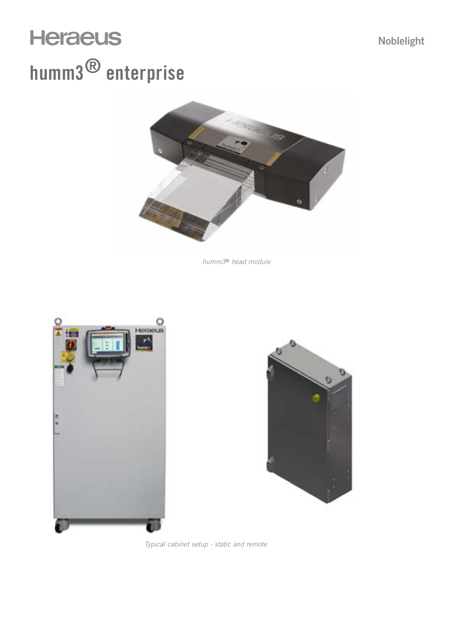# **Heraeus** humm3® enterprise



*humm3*® *head module*





*Typical cabinet setup - static and remote*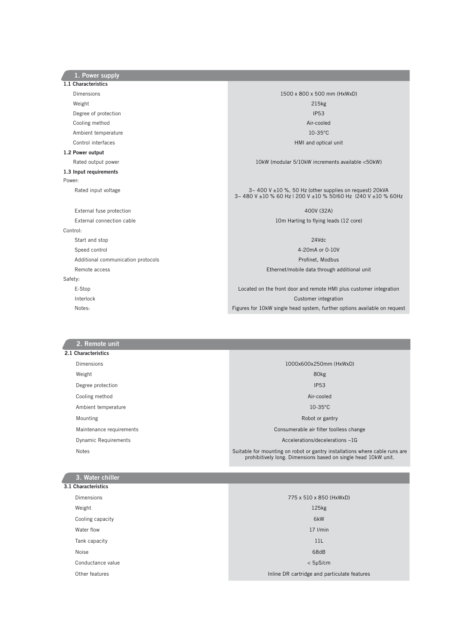| 1. Power supply                    |                                                                                                                        |  |  |
|------------------------------------|------------------------------------------------------------------------------------------------------------------------|--|--|
| 1.1 Characteristics                |                                                                                                                        |  |  |
| Dimensions                         | 1500 x 800 x 500 mm (HxWxD)                                                                                            |  |  |
| Weight                             | 215kg                                                                                                                  |  |  |
| Degree of protection               | <b>IP53</b>                                                                                                            |  |  |
| Cooling method                     | Air-cooled                                                                                                             |  |  |
| Ambient temperature                | $10-35^{\circ}$ C                                                                                                      |  |  |
| Control interfaces                 | HMI and optical unit                                                                                                   |  |  |
| 1.2 Power output                   |                                                                                                                        |  |  |
| Rated output power                 | 10kW (modular 5/10kW increments available <50kW)                                                                       |  |  |
| 1.3 Input requirements             |                                                                                                                        |  |  |
| Power:                             |                                                                                                                        |  |  |
| Rated input voltage                | 3~400 V ±10 %, 50 Hz (other supplies on request) 20kVA<br>3~480 V ±10 % 60 Hz   200 V ±10 % 50/60 Hz  240 V ±10 % 60Hz |  |  |
| External fuse protection           | 400V (32A)                                                                                                             |  |  |
| External connection cable          | 10m Harting to flying leads (12 core)                                                                                  |  |  |
| Control:                           |                                                                                                                        |  |  |
| Start and stop                     | 24Vdc                                                                                                                  |  |  |
| Speed control                      | 4-20mA or 0-10V                                                                                                        |  |  |
| Additional communication protocols | Profinet, Modbus                                                                                                       |  |  |
| Remote access                      | Ethernet/mobile data through additional unit                                                                           |  |  |
| Safety:                            |                                                                                                                        |  |  |
| E-Stop                             | Located on the front door and remote HMI plus customer integration                                                     |  |  |
| Interlock                          | Customer integration                                                                                                   |  |  |
| Notes:                             | Figures for 10kW single head system, further options available on request                                              |  |  |

| 2. Remote unit           |                                                                                                                                               |
|--------------------------|-----------------------------------------------------------------------------------------------------------------------------------------------|
| 2.1 Characteristics      |                                                                                                                                               |
| <b>Dimensions</b>        | 1000x600x250mm (HxWxD)                                                                                                                        |
| Weight                   | 80kg                                                                                                                                          |
| Degree protection        | <b>IP53</b>                                                                                                                                   |
| Cooling method           | Air-cooled                                                                                                                                    |
| Ambient temperature      | $10-35$ °C                                                                                                                                    |
| Mounting                 | Robot or gantry                                                                                                                               |
| Maintenance requirements | Consumerable air filter toolless change                                                                                                       |
| Dynamic Requirements     | Accelerations/decelerations ~1G                                                                                                               |
| <b>Notes</b>             | Suitable for mounting on robot or gantry installations where cable runs are<br>prohibitively long. Dimensions based on single head 10kW unit. |
|                          |                                                                                                                                               |

| 3. Water chiller    |                                              |
|---------------------|----------------------------------------------|
| 3.1 Characteristics |                                              |
| <b>Dimensions</b>   | 775 x 510 x 850 (HxWxD)                      |
| Weight              | 125kg                                        |
| Cooling capacity    | 6kW                                          |
| Water flow          | $17$ $I/min$                                 |
| Tank capacity       | 11L                                          |
| Noise               | 68dB                                         |
| Conductance value   | $< 5 \mu$ S/cm                               |
| Other features      | Inline DR cartridge and particulate features |
|                     |                                              |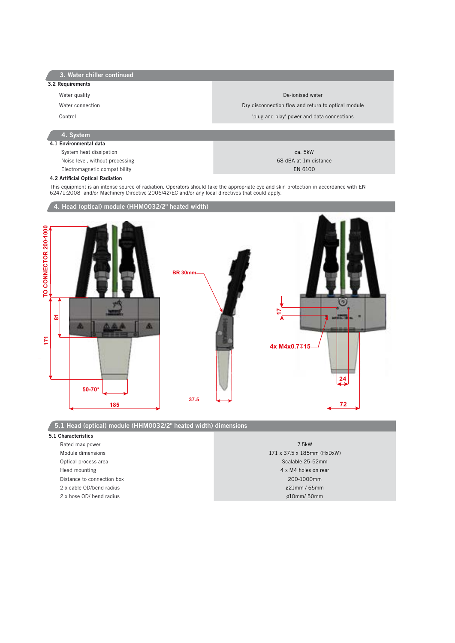| 3. Water chiller continued |
|----------------------------|
|----------------------------|

- 3.2 Requirements
	-
	-
	-

#### Water quality **De-ionised water**

## Water connection **Dry disconnection** Dry disconnection flow and return to optical module Control 'plug and play' power and data connections

# 4. System

4.1 Environmental data System heat dissipation care called the case of the case of the case of the case of the case of the case of the case of the case of the case of the case of the case of the case of the case of the case of the case of the ca Noise level, without processing example of the state of the state of the state of the state of the state of the state of the state of the state of the state of the state of the state of the state of the state of the state

Electromagnetic compatibility **EN 6100** EN 6100

### 4.2 Artificial Optical Radiation

This equipment is an intense source of radiation. Operators should take the appropriate eye and skin protection in accordance with EN 62471:2008 and/or Machinery Directive 2006/42/EC and/or any local directives that could apply.



5.1 Head (optical) module (HHM0032/2" heated width) dimensions

#### 5.1 Characteristics

 Rated max power 7.5kW Optical process area Scalable 25-52mm Head mounting the contract of the contract of the contract of the contract of the contract of the contract of the contract of the contract of the contract of the contract of the contract of the contract of the contract of Distance to connection box 200-1000mm 2 x cable OD/bend radius ø21mm / 65mm

Module dimensions 171 x 37.5 x 185mm (HxDxW) 2 x hose OD/ bend radius **and radius and radius and radius** *g***10mm/50mm**